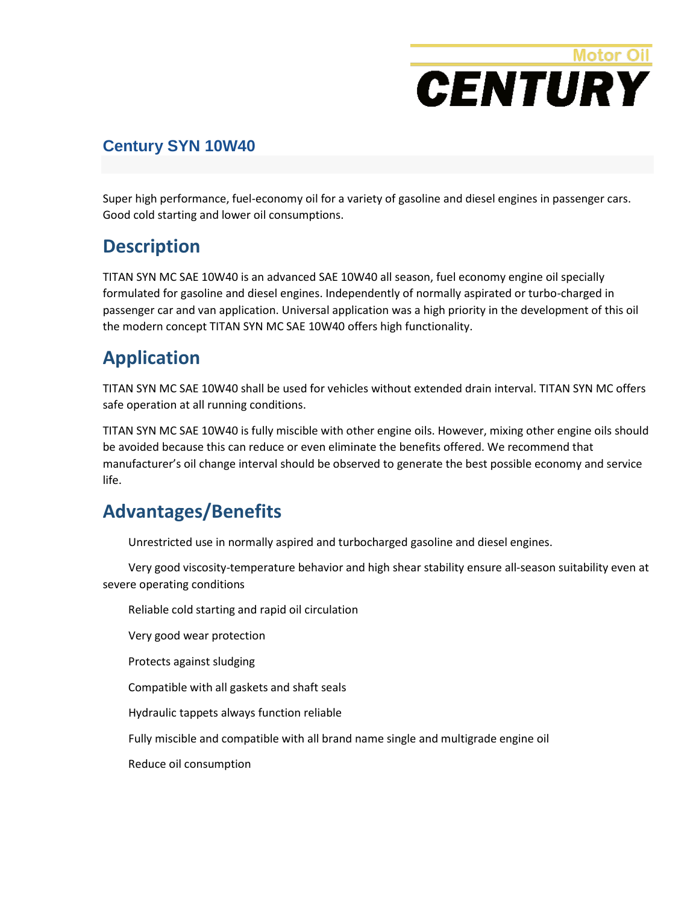# **Motor Oil CENTURY**

#### **Century SYN 10W40**

Super high performance, fuel-economy oil for a variety of gasoline and diesel engines in passenger cars. Good cold starting and lower oil consumptions.

### **Description**

TITAN SYN MC SAE 10W40 is an advanced SAE 10W40 all season, fuel economy engine oil specially formulated for gasoline and diesel engines. Independently of normally aspirated or turbo-charged in passenger car and van application. Universal application was a high priority in the development of this oil the modern concept TITAN SYN MC SAE 10W40 offers high functionality.

## **Application**

TITAN SYN MC SAE 10W40 shall be used for vehicles without extended drain interval. TITAN SYN MC offers safe operation at all running conditions.

TITAN SYN MC SAE 10W40 is fully miscible with other engine oils. However, mixing other engine oils should be avoided because this can reduce or even eliminate the benefits offered. We recommend that manufacturer's oil change interval should be observed to generate the best possible economy and service life.

## **Advantages/Benefits**

Unrestricted use in normally aspired and turbocharged gasoline and diesel engines.

Very good viscosity-temperature behavior and high shear stability ensure all-season suitability even at severe operating conditions

Reliable cold starting and rapid oil circulation

Very good wear protection

Protects against sludging

Compatible with all gaskets and shaft seals

Hydraulic tappets always function reliable

Fully miscible and compatible with all brand name single and multigrade engine oil

Reduce oil consumption